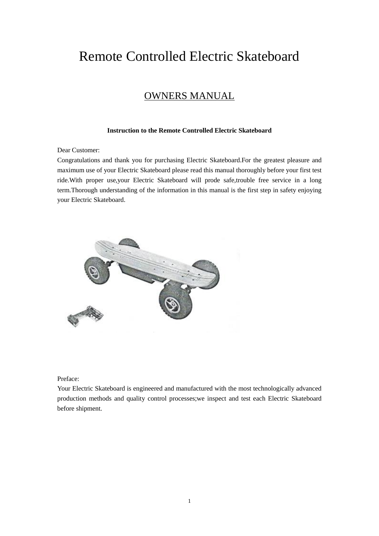# Remote Controlled Electric Skateboard

# OWNERS MANUAL

#### **Instruction to the Remote Controlled Electric Skateboard**

#### Dear Customer:

Congratulations and thank you for purchasing Electric Skateboard.For the greatest pleasure and maximum use of your Electric Skateboard please read this manual thoroughly before your first test ride.With proper use,your Electric Skateboard will prode safe,trouble free service in a long term.Thorough understanding of the information in this manual is the first step in safety enjoying your Electric Skateboard.



Preface:

Your Electric Skateboard is engineered and manufactured with the most technologically advanced production methods and quality control processes;we inspect and test each Electric Skateboard before shipment.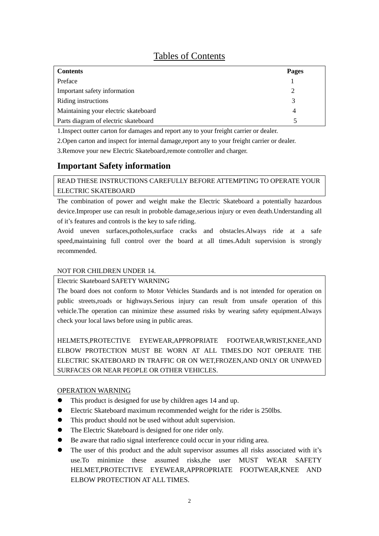# Tables of Contents

| <b>Contents</b>                      | Pages |
|--------------------------------------|-------|
| Preface                              |       |
| Important safety information         | っ     |
| Riding instructions                  | 3     |
| Maintaining your electric skateboard | 4     |
| Parts diagram of electric skateboard |       |

1.Inspect outter carton for damages and report any to your freight carrier or dealer.

2.Open carton and inspect for internal damage,report any to your freight carrier or dealer.

3.Remove your new Electric Skateboard,remote controller and charger.

# **Important Safety information**

# READ THESE INSTRUCTIONS CAREFULLY BEFORE ATTEMPTING TO OPERATE YOUR ELECTRIC SKATEBOARD

The combination of power and weight make the Electric Skateboard a potentially hazardous device.Improper use can result in proboble damage, serious injury or even death.Understanding all of it's features and controls is the key to safe riding.

Avoid uneven surfaces,potholes,surface cracks and obstacles.Always ride at a safe speed,maintaining full control over the board at all times.Adult supervision is strongly recommended.

### NOT FOR CHILDREN UNDER 14.

#### Electric Skateboard SAFETY WARNING

The board does not conform to Motor Vehicles Standards and is not intended for operation on public streets,roads or highways.Serious injury can result from unsafe operation of this vehicle.The operation can minimize these assumed risks by wearing safety equipment.Always check your local laws before using in public areas.

HELMETS,PROTECTIVE EYEWEAR,APPROPRIATE FOOTWEAR,WRIST,KNEE,AND ELBOW PROTECTION MUST BE WORN AT ALL TIMES.DO NOT OPERATE THE ELECTRIC SKATEBOARD IN TRAFFIC OR ON WET,FROZEN,AND ONLY OR UNPAVED SURFACES OR NEAR PEOPLE OR OTHER VEHICLES.

# OPERATION WARNING

- This product is designed for use by children ages 14 and up.
- Electric Skateboard maximum recommended weight for the rider is 250lbs.
- This product should not be used without adult supervision.
- The Electric Skateboard is designed for one rider only.
- Be aware that radio signal interference could occur in your riding area.
- The user of this product and the adult supervisor assumes all risks associated with it's use.To minimize these assumed risks,the user MUST WEAR SAFETY HELMET,PROTECTIVE EYEWEAR,APPROPRIATE FOOTWEAR,KNEE AND ELBOW PROTECTION AT ALL TIMES.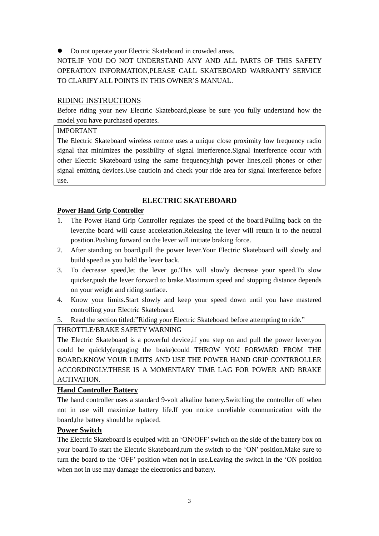Do not operate your Electric Skateboard in crowded areas.

NOTE:IF YOU DO NOT UNDERSTAND ANY AND ALL PARTS OF THIS SAFETY OPERATION INFORMATION,PLEASE CALL SKATEBOARD WARRANTY SERVICE TO CLARIFY ALL POINTS IN THIS OWNER'S MANUAL.

# RIDING INSTRUCTIONS

Before riding your new Electric Skateboard,please be sure you fully understand how the model you have purchased operates.

# IMPORTANT

The Electric Skateboard wireless remote uses a unique close proximity low frequency radio signal that minimizes the possibility of signal interference.Signal interference occur with other Electric Skateboard using the same frequency,high power lines,cell phones or other signal emitting devices.Use cautioin and check your ride area for signal interference before use.

# **ELECTRIC SKATEBOARD**

# **Power Hand Grip Controller**

- 1. The Power Hand Grip Controller regulates the speed of the board.Pulling back on the lever,the board will cause acceleration.Releasing the lever will return it to the neutral position.Pushing forward on the lever will initiate braking force.
- 2. After standing on board,pull the power lever.Your Electric Skateboard will slowly and build speed as you hold the lever back.
- 3. To decrease speed,let the lever go.This will slowly decrease your speed.To slow quicker,push the lever forward to brake.Maximum speed and stopping distance depends on your weight and riding surface.
- 4. Know your limits.Start slowly and keep your speed down until you have mastered controlling your Electric Skateboard.
- 5. Read the section titled:"Riding your Electric Skateboard before attempting to ride."

# THROTTLE/BRAKE SAFETY WARNING

The Electric Skateboard is a powerful device,if you step on and pull the power lever,you could be quickly(engaging the brake)could THROW YOU FORWARD FROM THE BOARD.KNOW YOUR LIMITS AND USE THE POWER HAND GRIP CONTRROLLER ACCORDINGLY.THESE IS A MOMENTARY TIME LAG FOR POWER AND BRAKE ACTIVATION.

# **Hand Controller Battery**

The hand controller uses a standard 9-volt alkaline battery.Switching the controller off when not in use will maximize battery life.If you notice unreliable communication with the board,the battery should be replaced.

# **Power Switch**

The Electric Skateboard is equiped with an 'ON/OFF'switch on the side of the battery box on your board.To start the Electric Skateboard,turn the switch to the 'ON' position.Make sure to turn the board to the 'OFF' position when not in use.Leaving the switch in the 'ON position when not in use may damage the electronics and battery.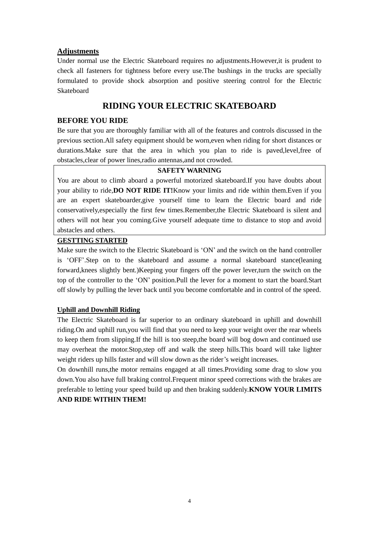#### **Adjustments**

Under normal use the Electric Skateboard requires no adjustments.However,it is prudent to check all fasteners for tightness before every use.The bushings in the trucks are specially formulated to provide shock absorption and positive steering control for the Electric Skateboard

# **RIDING YOUR ELECTRIC SKATEBOARD**

#### **BEFORE YOU RIDE**

Be sure that you are thoroughly familiar with all of the features and controls discussed in the previous section.All safety equipment should be worn,even when riding for short distances or durations.Make sure that the area in which you plan to ride is paved,level,free of obstacles,clear of power lines,radio antennas,and not crowded.

#### **SAFETY WARNING**

You are about to climb aboard a powerful motorized skateboard.If you have doubts about your ability to ride,**DO NOT RIDE IT!**Know your limits and ride within them.Even if you are an expert skateboarder,give yourself time to learn the Electric board and ride conservatively,especially the first few times.Remember,the Electric Skateboard is silent and others will not hear you coming.Give yourself adequate time to distance to stop and avoid abstacles and others.

# **GESTTING STARTED**

Make sure the switch to the Electric Skateboard is 'ON' and the switch on the hand controller is 'OFF'.Step on to the skateboard and assume a normal skateboard stance(leaning forward,knees slightly bent.)Keeping your fingers off the power lever,turn the switch on the top of the controller to the 'ON' position.Pull the lever for a moment to start the board.Start off slowly by pulling the lever back until you become comfortable and in control of the speed.

#### **Uphill and Downhill Riding**

The Electric Skateboard is far superior to an ordinary skateboard in uphill and downhill riding.On and uphill run,you will find that you need to keep your weight over the rear wheels to keep them from slipping.If the hill is too steep,the board will bog down and continued use may overheat the motor.Stop,step off and walk the steep hills.This board will take lighter weight riders up hills faster and will slow down as the rider's weight increases.

On downhill runs,the motor remains engaged at all times.Providing some drag to slow you down.You also have full braking control.Frequent minor speed corrections with the brakes are preferable to letting your speed build up and then braking suddenly.**KNOW YOUR LIMITS AND RIDE WITHIN THEM!**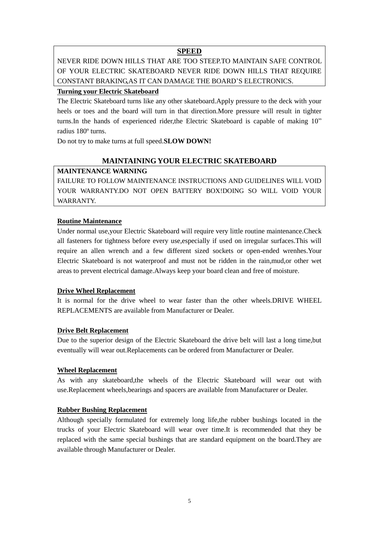#### **SPEED**

NEVER RIDE DOWN HILLS THAT ARE TOO STEEP.TO MAINTAIN SAFE CONTROL OF YOUR ELECTRIC SKATEBOARD NEVER RIDE DOWN HILLS THAT REQUIRE CONSTANT BRAKING,AS IT CAN DAMAGE THE BOARD'S ELECTRONICS.

### **Turning your Electric Skateboard**

The Electric Skateboard turns like any other skateboard.Apply pressure to the deck with your heels or toes and the board will turn in that direction.More pressure will result in tighter turns.In the hands of experienced rider,the Electric Skateboard is capable of making 10" radius 180º turns.

Do not try to make turns at full speed.**SLOW DOWN!**

# **MAINTAINING YOUR ELECTRIC SKATEBOARD**

# **MAINTENANCE WARNING**

FAILURE TO FOLLOW MAINTENANCE INSTRUCTIONS AND GUIDELINES WILL VOID YOUR WARRANTY.DO NOT OPEN BATTERY BOX!DOING SO WILL VOID YOUR WARRANTY.

#### **Routine Maintenance**

Under normal use,your Electric Skateboard will require very little routine maintenance.Check all fasteners for tightness before every use,especially if used on irregular surfaces.This will require an allen wrench and a few different sized sockets or open-ended wrenhes.Your Electric Skateboard is not waterproof and must not be ridden in the rain,mud,or other wet areas to prevent electrical damage.Always keep your board clean and free of moisture.

#### **Drive Wheel Replacement**

It is normal for the drive wheel to wear faster than the other wheels.DRIVE WHEEL REPLACEMENTS are available from Manufacturer or Dealer.

# **Drive Belt Replacement**

Due to the superior design of the Electric Skateboard the drive belt will last a long time,but eventually will wear out.Replacements can be ordered from Manufacturer or Dealer.

#### **Wheel Replacement**

As with any skateboard,the wheels of the Electric Skateboard will wear out with use.Replacement wheels,bearings and spacers are available from Manufacturer or Dealer.

# **Rubber Bushing Replacement**

Although specially formulated for extremely long life,the rubber bushings located in the trucks of your Electric Skateboard will wear over time.It is recommended that they be replaced with the same special bushings that are standard equipment on the board.They are available through Manufacturer or Dealer.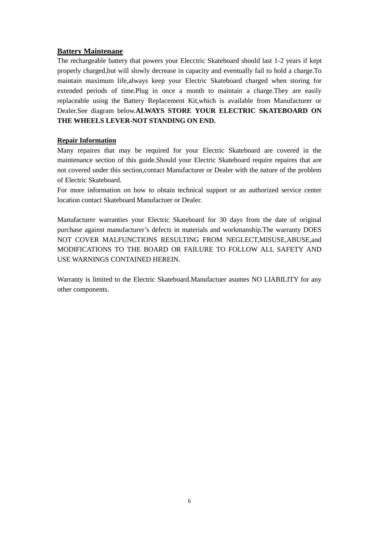# **Battery Maintenane**

The rechargeable battery that powers your Elecctric Skateboard should last 1-2 years if kept properly charged,but will slowly decrease in capacity and eventually fail to hold a charge.To maintain maximum life,always keep your Electric Skateboard charged when storing for extended periods of time.Plug in once a month to maintain a charge.They are easily replaceable using the Battery Replacement Kit,which is available from Manufacturer or Dealer.See diagram below.**ALWAYS STORE YOUR ELECTRIC SKATEBOARD ON THE WHEELS LEVER-NOT STANDING ON END.**

# **Repair Information**

Many repaires that may be required for your Electric Skateboard are covered in the maintenance section of this guide.Should your Electric Skateboard require repaires that are not covered under this section,contact Manufacturer or Dealer with the nature of the problem of Electric Skateboard.

For more information on how to obtain technical support or an authorized service center location contact Skateboard Manufactuer or Dealer.

Manufacturer warranties your Electric Skateboard for 30 days from the date of original purchase against manufacturer's defects in materials and workmanship.The warranty DOES NOT COVER MALFUNCTIONS RESULTING FROM NEGLECT,MISUSE,ABUSE,and MODIFICATIONS TO THE BOARD OR FAILURE TO FOLLOW ALL SAFETY AND USE WARNINGS CONTAINED HEREIN.

Warranty is limited to the Electric Skateboard.Manufactuer asumes NO LIABILITY for any other components.